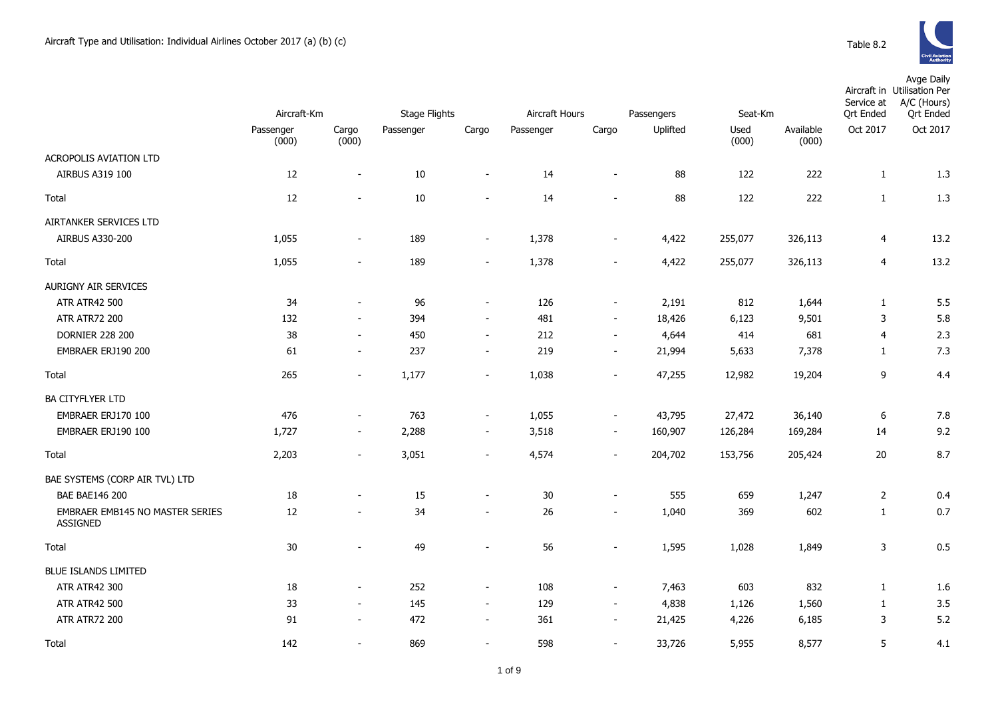|                                                    | Aircraft-Km        |                          | Stage Flights |                          | Aircraft Hours |                          | Passengers | Seat-Km       |                    | Avge Daily<br>Aircraft in Utilisation Per<br>A/C (Hours)<br>Service at<br><b>Qrt Ended</b><br><b>Ort Ended</b> |          |  |
|----------------------------------------------------|--------------------|--------------------------|---------------|--------------------------|----------------|--------------------------|------------|---------------|--------------------|----------------------------------------------------------------------------------------------------------------|----------|--|
|                                                    | Passenger<br>(000) | Cargo<br>(000)           | Passenger     | Cargo                    | Passenger      | Cargo                    | Uplifted   | Used<br>(000) | Available<br>(000) | Oct 2017                                                                                                       | Oct 2017 |  |
| ACROPOLIS AVIATION LTD                             |                    |                          |               |                          |                |                          |            |               |                    |                                                                                                                |          |  |
| AIRBUS A319 100                                    | 12                 | $\overline{\phantom{a}}$ | 10            | $\blacksquare$           | 14             | $\overline{a}$           | 88         | 122           | 222                | 1                                                                                                              | 1.3      |  |
| Total                                              | 12                 |                          | 10            | $\overline{a}$           | 14             | $\overline{a}$           | 88         | 122           | 222                | $\mathbf{1}$                                                                                                   | 1.3      |  |
| AIRTANKER SERVICES LTD                             |                    |                          |               |                          |                |                          |            |               |                    |                                                                                                                |          |  |
| AIRBUS A330-200                                    | 1,055              | $\sim$                   | 189           | $\overline{\phantom{a}}$ | 1,378          | $\overline{\phantom{a}}$ | 4,422      | 255,077       | 326,113            | 4                                                                                                              | 13.2     |  |
| <b>Total</b>                                       | 1,055              | $\sim$                   | 189           | $\overline{\phantom{a}}$ | 1,378          | $\overline{\phantom{a}}$ | 4,422      | 255,077       | 326,113            | 4                                                                                                              | 13.2     |  |
| <b>AURIGNY AIR SERVICES</b>                        |                    |                          |               |                          |                |                          |            |               |                    |                                                                                                                |          |  |
| <b>ATR ATR42 500</b>                               | 34                 |                          | 96            | $\overline{\phantom{a}}$ | 126            | $\overline{\phantom{a}}$ | 2,191      | 812           | 1,644              | $\mathbf{1}$                                                                                                   | 5.5      |  |
| <b>ATR ATR72 200</b>                               | 132                | $\overline{\phantom{a}}$ | 394           | $\sim$                   | 481            | $\blacksquare$           | 18,426     | 6,123         | 9,501              | $\mathsf 3$                                                                                                    | 5.8      |  |
| <b>DORNIER 228 200</b>                             | 38                 |                          | 450           | $\overline{\phantom{a}}$ | 212            | $\blacksquare$           | 4,644      | 414           | 681                | $\overline{4}$                                                                                                 | 2.3      |  |
| EMBRAER ERJ190 200                                 | 61                 |                          | 237           | $\overline{\phantom{a}}$ | 219            | $\overline{a}$           | 21,994     | 5,633         | 7,378              | 1                                                                                                              | 7.3      |  |
| Total                                              | 265                | $\sim$                   | 1,177         | $\overline{\phantom{a}}$ | 1,038          | $\blacksquare$           | 47,255     | 12,982        | 19,204             | 9                                                                                                              | 4.4      |  |
| <b>BA CITYFLYER LTD</b>                            |                    |                          |               |                          |                |                          |            |               |                    |                                                                                                                |          |  |
| EMBRAER ERJ170 100                                 | 476                | $\sim$                   | 763           | $\blacksquare$           | 1,055          | $\overline{\phantom{a}}$ | 43,795     | 27,472        | 36,140             | $\boldsymbol{6}$                                                                                               | 7.8      |  |
| EMBRAER ERJ190 100                                 | 1,727              | $\sim$                   | 2,288         | $\overline{\phantom{a}}$ | 3,518          | $\overline{\phantom{a}}$ | 160,907    | 126,284       | 169,284            | 14                                                                                                             | 9.2      |  |
| Total                                              | 2,203              | $\sim$                   | 3,051         | $\overline{\phantom{a}}$ | 4,574          | $\blacksquare$           | 204,702    | 153,756       | 205,424            | 20                                                                                                             | 8.7      |  |
| BAE SYSTEMS (CORP AIR TVL) LTD                     |                    |                          |               |                          |                |                          |            |               |                    |                                                                                                                |          |  |
| <b>BAE BAE146 200</b>                              | $18\,$             |                          | 15            | $\blacksquare$           | 30             | $\overline{a}$           | 555        | 659           | 1,247              | $\overline{2}$                                                                                                 | 0.4      |  |
| <b>EMBRAER EMB145 NO MASTER SERIES</b><br>ASSIGNED | 12                 |                          | 34            | $\sim$                   | 26             | $\overline{\phantom{a}}$ | 1,040      | 369           | 602                | 1                                                                                                              | 0.7      |  |
| <b>Total</b>                                       | $30\,$             |                          | 49            | $\overline{a}$           | 56             | $\overline{\phantom{a}}$ | 1,595      | 1,028         | 1,849              | 3                                                                                                              | 0.5      |  |
| <b>BLUE ISLANDS LIMITED</b>                        |                    |                          |               |                          |                |                          |            |               |                    |                                                                                                                |          |  |
| <b>ATR ATR42 300</b>                               | 18                 | $\overline{\phantom{a}}$ | 252           | $\overline{\phantom{a}}$ | 108            | $\blacksquare$           | 7,463      | 603           | 832                | $\mathbf{1}$                                                                                                   | 1.6      |  |
| <b>ATR ATR42 500</b>                               | 33                 |                          | 145           | $\overline{\phantom{a}}$ | 129            | $\blacksquare$           | 4,838      | 1,126         | 1,560              | 1                                                                                                              | 3.5      |  |
| <b>ATR ATR72 200</b>                               | 91                 |                          | 472           | $\overline{\phantom{a}}$ | 361            | $\overline{a}$           | 21,425     | 4,226         | 6,185              | 3                                                                                                              | 5.2      |  |
| Total                                              | 142                |                          | 869           | $\overline{a}$           | 598            | $\overline{a}$           | 33,726     | 5,955         | 8,577              | 5                                                                                                              | 4.1      |  |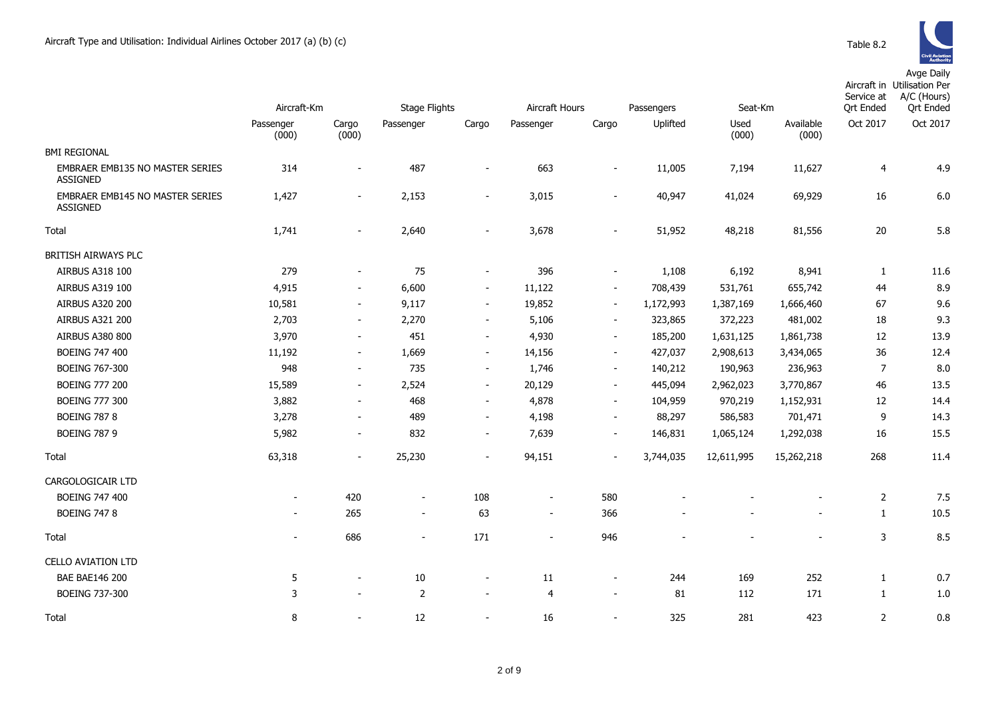|                                                    | Aircraft-Km              |                          | <b>Stage Flights</b>     |                          | Aircraft Hours           |                          | Passengers | Seat-Km       |                          | Service at<br><b>Qrt Ended</b> | Aircraft in Utilisation Per<br>A/C (Hours)<br><b>Qrt Ended</b> |
|----------------------------------------------------|--------------------------|--------------------------|--------------------------|--------------------------|--------------------------|--------------------------|------------|---------------|--------------------------|--------------------------------|----------------------------------------------------------------|
|                                                    | Passenger<br>(000)       | Cargo<br>(000)           | Passenger                | Cargo                    | Passenger                | Cargo                    | Uplifted   | Used<br>(000) | Available<br>(000)       | Oct 2017                       | Oct 2017                                                       |
| <b>BMI REGIONAL</b>                                |                          |                          |                          |                          |                          |                          |            |               |                          |                                |                                                                |
| EMBRAER EMB135 NO MASTER SERIES<br><b>ASSIGNED</b> | 314                      |                          | 487                      | $\overline{\phantom{a}}$ | 663                      |                          | 11,005     | 7,194         | 11,627                   | $\overline{4}$                 | 4.9                                                            |
| EMBRAER EMB145 NO MASTER SERIES<br><b>ASSIGNED</b> | 1,427                    | $\blacksquare$           | 2,153                    | $\overline{\phantom{a}}$ | 3,015                    | $\overline{\phantom{a}}$ | 40,947     | 41,024        | 69,929                   | 16                             | 6.0                                                            |
| Total                                              | 1,741                    | $\blacksquare$           | 2,640                    | $\overline{\phantom{a}}$ | 3,678                    | $\overline{\phantom{a}}$ | 51,952     | 48,218        | 81,556                   | 20                             | 5.8                                                            |
| BRITISH AIRWAYS PLC                                |                          |                          |                          |                          |                          |                          |            |               |                          |                                |                                                                |
| <b>AIRBUS A318 100</b>                             | 279                      |                          | 75                       | $\overline{\phantom{a}}$ | 396                      |                          | 1,108      | 6,192         | 8,941                    | 1                              | 11.6                                                           |
| AIRBUS A319 100                                    | 4,915                    | $\overline{\phantom{a}}$ | 6,600                    | $\overline{\phantom{a}}$ | 11,122                   | $\overline{\phantom{a}}$ | 708,439    | 531,761       | 655,742                  | 44                             | 8.9                                                            |
| AIRBUS A320 200                                    | 10,581                   | $\blacksquare$           | 9,117                    | $\blacksquare$           | 19,852                   | $\blacksquare$           | 1,172,993  | 1,387,169     | 1,666,460                | 67                             | 9.6                                                            |
| AIRBUS A321 200                                    | 2,703                    | $\overline{\phantom{a}}$ | 2,270                    | $\overline{\phantom{a}}$ | 5,106                    | $\overline{\phantom{a}}$ | 323,865    | 372,223       | 481,002                  | 18                             | 9.3                                                            |
| AIRBUS A380 800                                    | 3,970                    | $\sim$                   | 451                      | $\overline{\phantom{a}}$ | 4,930                    | $\blacksquare$           | 185,200    | 1,631,125     | 1,861,738                | 12                             | 13.9                                                           |
| <b>BOEING 747 400</b>                              | 11,192                   | $\overline{\phantom{a}}$ | 1,669                    | $\sim$                   | 14,156                   | $\overline{\phantom{a}}$ | 427,037    | 2,908,613     | 3,434,065                | 36                             | 12.4                                                           |
| <b>BOEING 767-300</b>                              | 948                      | $\overline{\phantom{a}}$ | 735                      | $\blacksquare$           | 1,746                    | $\overline{\phantom{a}}$ | 140,212    | 190,963       | 236,963                  | $\overline{7}$                 | 8.0                                                            |
| <b>BOEING 777 200</b>                              | 15,589                   | $\overline{\phantom{a}}$ | 2,524                    | $\blacksquare$           | 20,129                   | $\overline{\phantom{a}}$ | 445,094    | 2,962,023     | 3,770,867                | 46                             | 13.5                                                           |
| <b>BOEING 777 300</b>                              | 3,882                    | $\overline{\phantom{a}}$ | 468                      | $\overline{\phantom{a}}$ | 4,878                    | $\overline{\phantom{a}}$ | 104,959    | 970,219       | 1,152,931                | 12                             | 14.4                                                           |
| <b>BOEING 787 8</b>                                | 3,278                    | $\blacksquare$           | 489                      | $\overline{\phantom{a}}$ | 4,198                    | $\overline{\phantom{a}}$ | 88,297     | 586,583       | 701,471                  | 9                              | 14.3                                                           |
| <b>BOEING 787 9</b>                                | 5,982                    | $\blacksquare$           | 832                      | $\sim$                   | 7,639                    | $\blacksquare$           | 146,831    | 1,065,124     | 1,292,038                | 16                             | 15.5                                                           |
| Total                                              | 63,318                   | $\sim$                   | 25,230                   | $\overline{\phantom{a}}$ | 94,151                   | $\blacksquare$           | 3,744,035  | 12,611,995    | 15,262,218               | 268                            | 11.4                                                           |
| CARGOLOGICAIR LTD                                  |                          |                          |                          |                          |                          |                          |            |               |                          |                                |                                                                |
| <b>BOEING 747 400</b>                              | $\overline{\phantom{a}}$ | 420                      | $\overline{\phantom{a}}$ | 108                      | $\overline{\phantom{a}}$ | 580                      |            |               |                          | $\overline{2}$                 | 7.5                                                            |
| <b>BOEING 747 8</b>                                |                          | 265                      | $\overline{\phantom{a}}$ | 63                       | $\overline{\phantom{a}}$ | 366                      |            |               |                          | $\mathbf{1}$                   | 10.5                                                           |
| Total                                              | $\sim$                   | 686                      | $\overline{\phantom{a}}$ | 171                      | $\blacksquare$           | 946                      |            |               | $\overline{\phantom{a}}$ | 3                              | 8.5                                                            |
| <b>CELLO AVIATION LTD</b>                          |                          |                          |                          |                          |                          |                          |            |               |                          |                                |                                                                |
| <b>BAE BAE146 200</b>                              | 5                        |                          | 10                       | $\overline{\phantom{a}}$ | 11                       | $\overline{\phantom{a}}$ | 244        | 169           | 252                      | $\mathbf{1}$                   | 0.7                                                            |
| <b>BOEING 737-300</b>                              | 3                        | $\sim$                   | $\overline{2}$           | $\overline{\phantom{a}}$ | $\overline{4}$           | $\blacksquare$           | 81         | 112           | 171                      | $\mathbf{1}$                   | 1.0                                                            |
| Total                                              | 8                        |                          | 12                       | $\blacksquare$           | 16                       | $\overline{\phantom{a}}$ | 325        | 281           | 423                      | $\overline{2}$                 | 0.8                                                            |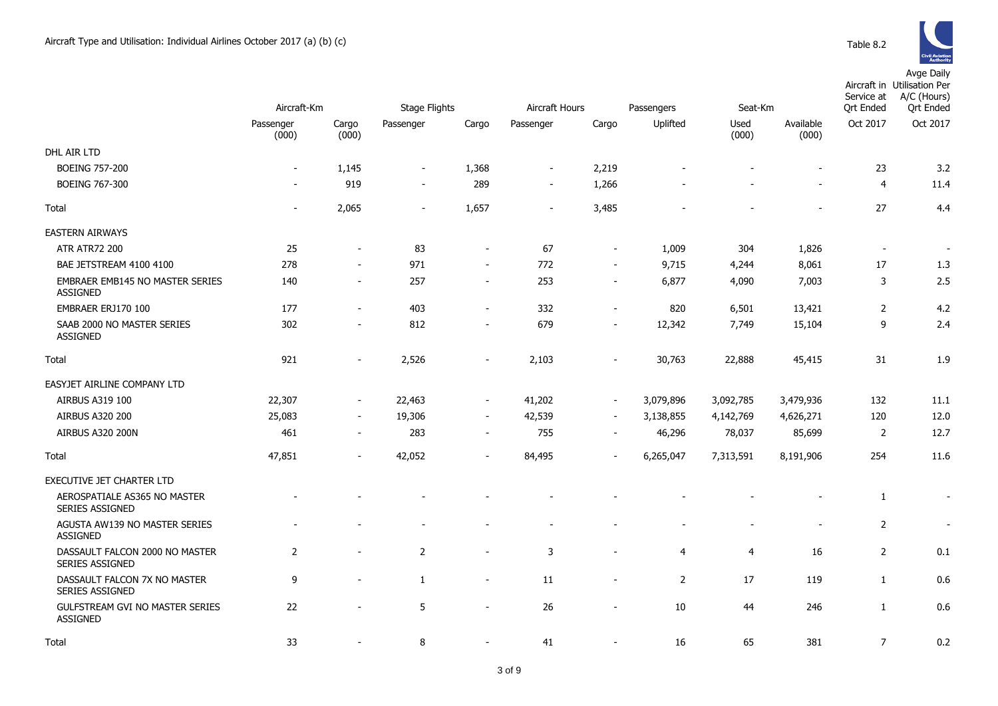|                                                          | Aircraft-Km              |                          | Stage Flights            |                          | Aircraft Hours           |                          | Passengers     |                | Seat-Km            |                | Aircraft in Utilisation Per<br>A/C (Hours)<br>Service at<br><b>Qrt Ended</b> |
|----------------------------------------------------------|--------------------------|--------------------------|--------------------------|--------------------------|--------------------------|--------------------------|----------------|----------------|--------------------|----------------|------------------------------------------------------------------------------|
|                                                          | Passenger<br>(000)       | Cargo<br>(000)           | Passenger                | Cargo                    | Passenger                | Cargo                    | Uplifted       | Used<br>(000)  | Available<br>(000) | Oct 2017       | Oct 2017                                                                     |
| DHL AIR LTD                                              |                          |                          |                          |                          |                          |                          |                |                |                    |                |                                                                              |
| <b>BOEING 757-200</b>                                    | $\overline{\phantom{a}}$ | 1,145                    | $\blacksquare$           | 1,368                    | $\overline{\phantom{a}}$ | 2,219                    |                |                |                    | 23             | 3.2                                                                          |
| <b>BOEING 767-300</b>                                    | $\overline{\phantom{a}}$ | 919                      | $\overline{\phantom{a}}$ | 289                      | $\overline{\phantom{a}}$ | 1,266                    |                |                |                    | $\overline{4}$ | 11.4                                                                         |
| Total                                                    | $\overline{\phantom{a}}$ | 2,065                    | $\overline{\phantom{a}}$ | 1,657                    | $\overline{\phantom{a}}$ | 3,485                    |                |                |                    | 27             | 4.4                                                                          |
| <b>EASTERN AIRWAYS</b>                                   |                          |                          |                          |                          |                          |                          |                |                |                    |                |                                                                              |
| <b>ATR ATR72 200</b>                                     | 25                       |                          | 83                       | $\blacksquare$           | 67                       | $\overline{\phantom{a}}$ | 1,009          | 304            | 1,826              |                |                                                                              |
| BAE JETSTREAM 4100 4100                                  | 278                      | $\blacksquare$           | 971                      | $\blacksquare$           | 772                      | $\overline{a}$           | 9,715          | 4,244          | 8,061              | $17\,$         | 1.3                                                                          |
| EMBRAER EMB145 NO MASTER SERIES<br><b>ASSIGNED</b>       | 140                      | $\sim$                   | 257                      | $\overline{\phantom{a}}$ | 253                      | $\overline{\phantom{a}}$ | 6,877          | 4,090          | 7,003              | 3              | 2.5                                                                          |
| EMBRAER ERJ170 100                                       | 177                      | $\sim$                   | 403                      | $\overline{\phantom{a}}$ | 332                      | $\overline{a}$           | 820            | 6,501          | 13,421             | $\overline{2}$ | 4.2                                                                          |
| SAAB 2000 NO MASTER SERIES<br><b>ASSIGNED</b>            | 302                      | $\overline{\phantom{a}}$ | 812                      | $\overline{\phantom{a}}$ | 679                      | $\overline{a}$           | 12,342         | 7,749          | 15,104             | 9              | 2.4                                                                          |
| Total                                                    | 921                      | $\sim$                   | 2,526                    | $\overline{\phantom{a}}$ | 2,103                    | $\overline{a}$           | 30,763         | 22,888         | 45,415             | 31             | 1.9                                                                          |
| EASYJET AIRLINE COMPANY LTD                              |                          |                          |                          |                          |                          |                          |                |                |                    |                |                                                                              |
| <b>AIRBUS A319 100</b>                                   | 22,307                   | $\overline{\phantom{a}}$ | 22,463                   | $\overline{\phantom{a}}$ | 41,202                   | $\overline{\phantom{a}}$ | 3,079,896      | 3,092,785      | 3,479,936          | 132            | 11.1                                                                         |
| <b>AIRBUS A320 200</b>                                   | 25,083                   | $\blacksquare$           | 19,306                   | $\overline{\phantom{a}}$ | 42,539                   | $\overline{\phantom{a}}$ | 3,138,855      | 4,142,769      | 4,626,271          | 120            | 12.0                                                                         |
| <b>AIRBUS A320 200N</b>                                  | 461                      | $\overline{\phantom{a}}$ | 283                      | $\overline{\phantom{a}}$ | 755                      | $\overline{\phantom{0}}$ | 46,296         | 78,037         | 85,699             | 2              | 12.7                                                                         |
| Total                                                    | 47,851                   | $\sim$                   | 42,052                   | $\blacksquare$           | 84,495                   | $\overline{a}$           | 6,265,047      | 7,313,591      | 8,191,906          | 254            | 11.6                                                                         |
| EXECUTIVE JET CHARTER LTD                                |                          |                          |                          |                          |                          |                          |                |                |                    |                |                                                                              |
| AEROSPATIALE AS365 NO MASTER<br><b>SERIES ASSIGNED</b>   |                          |                          |                          |                          |                          |                          |                |                |                    | 1              |                                                                              |
| AGUSTA AW139 NO MASTER SERIES<br><b>ASSIGNED</b>         |                          |                          |                          |                          | $\overline{\phantom{0}}$ |                          |                |                |                    | $\overline{2}$ | $\overline{\phantom{a}}$                                                     |
| DASSAULT FALCON 2000 NO MASTER<br><b>SERIES ASSIGNED</b> | $\overline{2}$           |                          | 2                        | $\overline{a}$           | 3                        | ÷,                       | 4              | $\overline{4}$ | 16                 | $\overline{2}$ | 0.1                                                                          |
| DASSAULT FALCON 7X NO MASTER<br><b>SERIES ASSIGNED</b>   | 9                        |                          | $\mathbf{1}$             | $\overline{\phantom{a}}$ | 11                       | $\overline{\phantom{0}}$ | $\overline{2}$ | 17             | 119                | $\mathbf{1}$   | 0.6                                                                          |
| GULFSTREAM GVI NO MASTER SERIES<br><b>ASSIGNED</b>       | 22                       |                          | 5                        | $\blacksquare$           | 26                       | $\blacksquare$           | 10             | 44             | 246                | $\mathbf{1}$   | 0.6                                                                          |
| Total                                                    | 33                       |                          | 8                        | $\overline{\phantom{a}}$ | 41                       | ٠                        | 16             | 65             | 381                | $\overline{7}$ | 0.2                                                                          |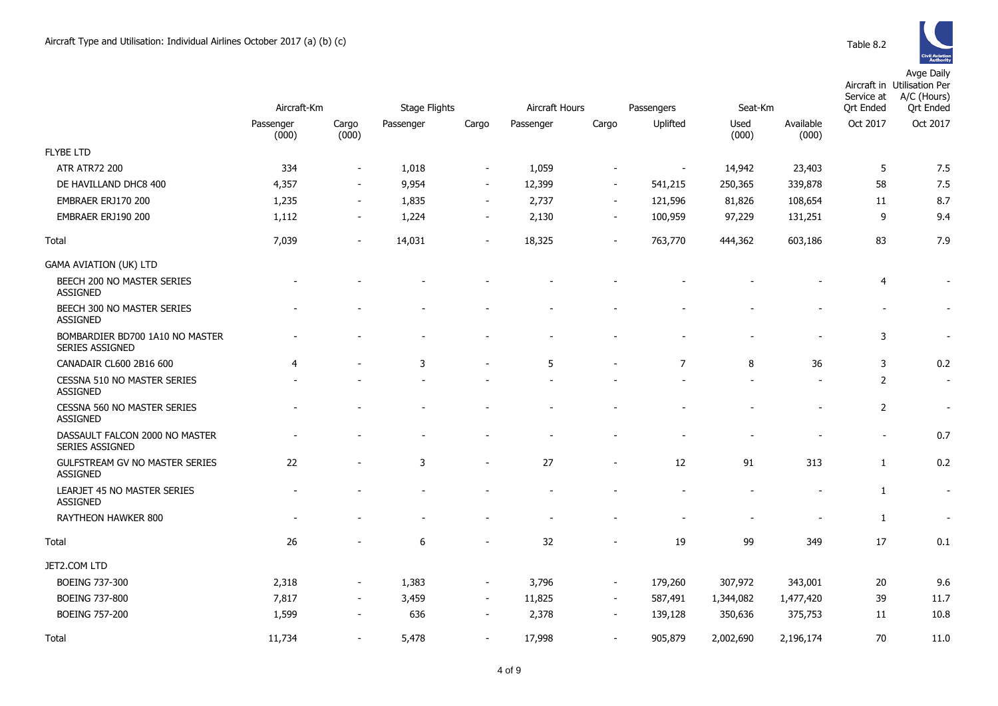|                                                          | Aircraft-Km        |                          | <b>Stage Flights</b> |                          | Aircraft Hours |                          | Passengers<br>Seat-Km    |               |                    | Service at<br><b>Ort Ended</b> | Aircraft in Utilisation Per<br>A/C (Hours)<br><b>Ort Ended</b> |
|----------------------------------------------------------|--------------------|--------------------------|----------------------|--------------------------|----------------|--------------------------|--------------------------|---------------|--------------------|--------------------------------|----------------------------------------------------------------|
|                                                          | Passenger<br>(000) | Cargo<br>(000)           | Passenger            | Cargo                    | Passenger      | Cargo                    | Uplifted                 | Used<br>(000) | Available<br>(000) | Oct 2017                       | Oct 2017                                                       |
| <b>FLYBE LTD</b>                                         |                    |                          |                      |                          |                |                          |                          |               |                    |                                |                                                                |
| <b>ATR ATR72 200</b>                                     | 334                | $\overline{\phantom{a}}$ | 1,018                | $\overline{\phantom{a}}$ | 1,059          | $\overline{\phantom{a}}$ | $\overline{\phantom{a}}$ | 14,942        | 23,403             | 5                              | 7.5                                                            |
| DE HAVILLAND DHC8 400                                    | 4,357              | $\sim$                   | 9,954                | $\overline{\phantom{a}}$ | 12,399         | $\overline{\phantom{a}}$ | 541,215                  | 250,365       | 339,878            | 58                             | 7.5                                                            |
| EMBRAER ERJ170 200                                       | 1,235              | $\sim$                   | 1,835                | $\sim$                   | 2,737          | $\overline{\phantom{a}}$ | 121,596                  | 81,826        | 108,654            | 11                             | 8.7                                                            |
| EMBRAER ERJ190 200                                       | 1,112              | $\overline{\phantom{a}}$ | 1,224                | $\overline{\phantom{a}}$ | 2,130          | $\overline{\phantom{a}}$ | 100,959                  | 97,229        | 131,251            | 9                              | 9.4                                                            |
| Total                                                    | 7,039              | $\blacksquare$           | 14,031               | $\overline{a}$           | 18,325         | $\overline{\phantom{a}}$ | 763,770                  | 444,362       | 603,186            | 83                             | 7.9                                                            |
| <b>GAMA AVIATION (UK) LTD</b>                            |                    |                          |                      |                          |                |                          |                          |               |                    |                                |                                                                |
| BEECH 200 NO MASTER SERIES<br>ASSIGNED                   |                    |                          |                      |                          |                |                          |                          |               |                    | 4                              | $\overline{\phantom{a}}$                                       |
| BEECH 300 NO MASTER SERIES<br><b>ASSIGNED</b>            |                    |                          |                      |                          |                |                          |                          |               |                    |                                |                                                                |
| BOMBARDIER BD700 1A10 NO MASTER<br>SERIES ASSIGNED       |                    |                          |                      |                          |                |                          |                          |               |                    | 3                              | $\sim$                                                         |
| CANADAIR CL600 2B16 600                                  | $\overline{4}$     |                          | 3                    |                          | 5              |                          | $\overline{7}$           | 8             | 36                 | 3                              | 0.2                                                            |
| CESSNA 510 NO MASTER SERIES<br><b>ASSIGNED</b>           |                    |                          |                      |                          |                |                          |                          |               |                    | $\overline{2}$                 | $\sim$                                                         |
| <b>CESSNA 560 NO MASTER SERIES</b><br>ASSIGNED           |                    |                          |                      |                          |                |                          |                          |               |                    | $\overline{2}$                 |                                                                |
| DASSAULT FALCON 2000 NO MASTER<br>SERIES ASSIGNED        |                    |                          |                      |                          |                |                          |                          |               |                    |                                | 0.7                                                            |
| <b>GULFSTREAM GV NO MASTER SERIES</b><br><b>ASSIGNED</b> | 22                 |                          | 3                    | $\overline{a}$           | 27             | $\overline{\phantom{a}}$ | 12                       | 91            | 313                | $\mathbf{1}$                   | 0.2                                                            |
| LEARJET 45 NO MASTER SERIES<br><b>ASSIGNED</b>           |                    |                          |                      |                          |                |                          |                          |               |                    | $\mathbf{1}$                   | $\sim$                                                         |
| RAYTHEON HAWKER 800                                      |                    |                          |                      |                          |                |                          |                          |               |                    | $\mathbf{1}$                   |                                                                |
| Total                                                    | 26                 |                          | 6                    |                          | 32             |                          | 19                       | 99            | 349                | 17                             | 0.1                                                            |
| JET2.COM LTD                                             |                    |                          |                      |                          |                |                          |                          |               |                    |                                |                                                                |
| BOEING 737-300                                           | 2,318              | $\blacksquare$           | 1,383                | $\blacksquare$           | 3,796          | $\overline{\phantom{a}}$ | 179,260                  | 307,972       | 343,001            | 20                             | 9.6                                                            |
| BOEING 737-800                                           | 7,817              | $\overline{\phantom{a}}$ | 3,459                | $\overline{\phantom{a}}$ | 11,825         | $\overline{\phantom{a}}$ | 587,491                  | 1,344,082     | 1,477,420          | 39                             | 11.7                                                           |
| <b>BOEING 757-200</b>                                    | 1,599              | $\blacksquare$           | 636                  | $\blacksquare$           | 2,378          | $\sim$                   | 139,128                  | 350,636       | 375,753            | 11                             | 10.8                                                           |
| Total                                                    | 11,734             |                          | 5,478                | $\blacksquare$           | 17,998         | $\blacksquare$           | 905,879                  | 2,002,690     | 2,196,174          | 70                             | 11.0                                                           |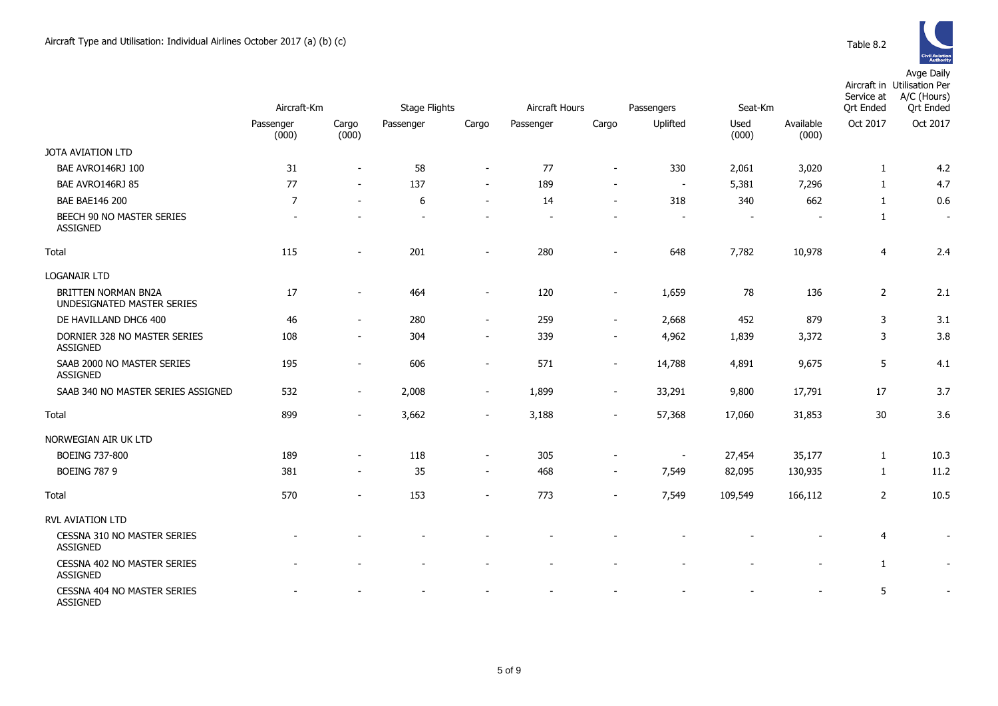|                                                          | Aircraft-Km              |                          | Stage Flights |                          | Aircraft Hours |                          | Passengers               | Seat-Km       |                    | Service at<br><b>Qrt Ended</b> | Aircraft in Utilisation Per<br>A/C (Hours)<br><b>Qrt Ended</b> |
|----------------------------------------------------------|--------------------------|--------------------------|---------------|--------------------------|----------------|--------------------------|--------------------------|---------------|--------------------|--------------------------------|----------------------------------------------------------------|
|                                                          | Passenger<br>(000)       | Cargo<br>(000)           | Passenger     | Cargo                    | Passenger      | Cargo                    | Uplifted                 | Used<br>(000) | Available<br>(000) | Oct 2017                       | Oct 2017                                                       |
| <b>JOTA AVIATION LTD</b>                                 |                          |                          |               |                          |                |                          |                          |               |                    |                                |                                                                |
| BAE AVRO146RJ 100                                        | 31                       | $\overline{\phantom{a}}$ | 58            | $\blacksquare$           | 77             | $\overline{a}$           | 330                      | 2,061         | 3,020              | $\mathbf{1}$                   | 4.2                                                            |
| BAE AVRO146RJ 85                                         | 77                       | $\overline{\phantom{a}}$ | 137           | $\overline{\phantom{a}}$ | 189            | $\overline{\phantom{a}}$ | $\sim$                   | 5,381         | 7,296              | $\mathbf{1}$                   | 4.7                                                            |
| <b>BAE BAE146 200</b>                                    | $\overline{7}$           | $\blacksquare$           | 6             | $\blacksquare$           | 14             | $\blacksquare$           | 318                      | 340           | 662                | $\mathbf{1}$                   | 0.6                                                            |
| BEECH 90 NO MASTER SERIES<br><b>ASSIGNED</b>             | $\overline{\phantom{a}}$ |                          |               |                          |                |                          |                          |               |                    | $\mathbf{1}$                   | $\overline{\phantom{a}}$                                       |
| Total                                                    | 115                      |                          | 201           |                          | 280            |                          | 648                      | 7,782         | 10,978             | $\overline{4}$                 | 2.4                                                            |
| <b>LOGANAIR LTD</b>                                      |                          |                          |               |                          |                |                          |                          |               |                    |                                |                                                                |
| <b>BRITTEN NORMAN BN2A</b><br>UNDESIGNATED MASTER SERIES | 17                       | $\overline{\phantom{a}}$ | 464           | $\overline{\phantom{a}}$ | 120            | $\blacksquare$           | 1,659                    | 78            | 136                | $\overline{2}$                 | 2.1                                                            |
| DE HAVILLAND DHC6 400                                    | 46                       | $\overline{\phantom{a}}$ | 280           | $\overline{\phantom{a}}$ | 259            | $\overline{\phantom{a}}$ | 2,668                    | 452           | 879                | 3                              | 3.1                                                            |
| DORNIER 328 NO MASTER SERIES<br>ASSIGNED                 | 108                      | $\blacksquare$           | 304           | $\blacksquare$           | 339            | $\blacksquare$           | 4,962                    | 1,839         | 3,372              | 3                              | 3.8                                                            |
| SAAB 2000 NO MASTER SERIES<br><b>ASSIGNED</b>            | 195                      | $\overline{\phantom{a}}$ | 606           | ÷                        | 571            | $\blacksquare$           | 14,788                   | 4,891         | 9,675              | 5                              | 4.1                                                            |
| SAAB 340 NO MASTER SERIES ASSIGNED                       | 532                      | $\overline{\phantom{a}}$ | 2,008         | $\overline{\phantom{a}}$ | 1,899          | $\overline{\phantom{a}}$ | 33,291                   | 9,800         | 17,791             | 17                             | 3.7                                                            |
| Total                                                    | 899                      | $\blacksquare$           | 3,662         | $\overline{\phantom{a}}$ | 3,188          | $\overline{\phantom{0}}$ | 57,368                   | 17,060        | 31,853             | 30                             | 3.6                                                            |
| NORWEGIAN AIR UK LTD                                     |                          |                          |               |                          |                |                          |                          |               |                    |                                |                                                                |
| <b>BOEING 737-800</b>                                    | 189                      | $\overline{\phantom{a}}$ | 118           | $\blacksquare$           | 305            | $\overline{\phantom{a}}$ | $\overline{\phantom{a}}$ | 27,454        | 35,177             | $\mathbf{1}$                   | 10.3                                                           |
| <b>BOEING 787 9</b>                                      | 381                      | $\sim$                   | 35            | $\blacksquare$           | 468            | $\overline{\phantom{a}}$ | 7,549                    | 82,095        | 130,935            | $\mathbf{1}$                   | 11.2                                                           |
| Total                                                    | 570                      | $\overline{\phantom{a}}$ | 153           | $\overline{\phantom{a}}$ | 773            | $\blacksquare$           | 7,549                    | 109,549       | 166,112            | $\overline{2}$                 | 10.5                                                           |
| RVL AVIATION LTD                                         |                          |                          |               |                          |                |                          |                          |               |                    |                                |                                                                |
| CESSNA 310 NO MASTER SERIES<br><b>ASSIGNED</b>           |                          |                          |               |                          |                |                          |                          |               |                    | 4                              | $\overline{\phantom{a}}$                                       |
| CESSNA 402 NO MASTER SERIES<br><b>ASSIGNED</b>           |                          |                          |               | $\overline{\phantom{a}}$ |                |                          |                          |               |                    | $\mathbf{1}$                   | $\overline{\phantom{a}}$                                       |
| CESSNA 404 NO MASTER SERIES<br><b>ASSIGNED</b>           |                          |                          |               |                          |                |                          |                          |               |                    | 5                              | $\blacksquare$                                                 |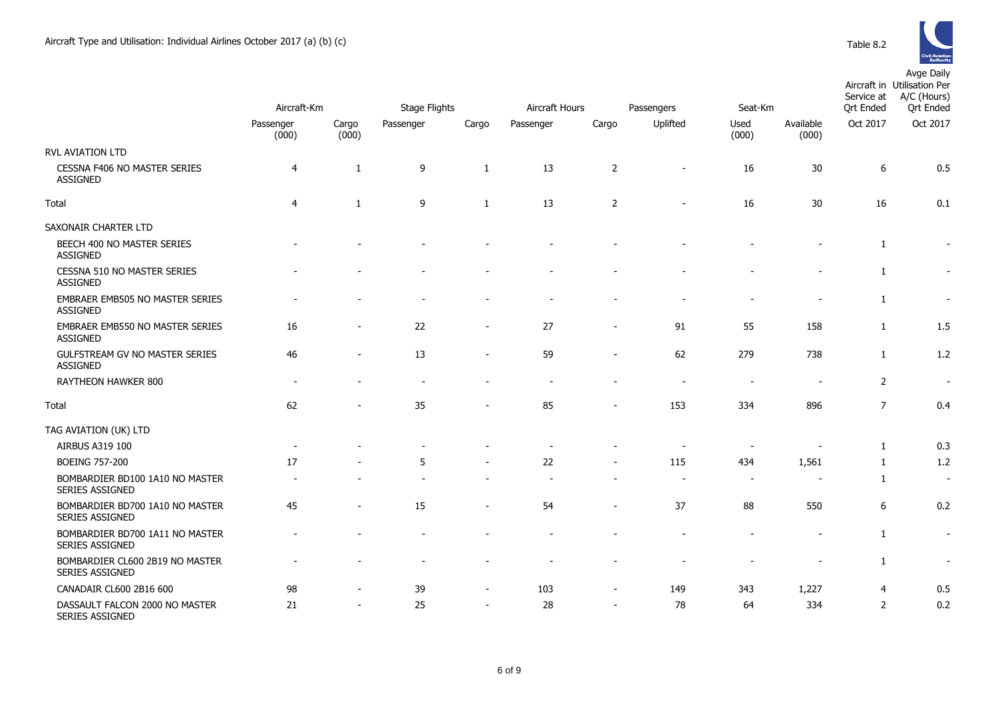

|                                                    | Aircraft-Km        |                | <b>Stage Flights</b> |                          | Aircraft Hours |                          | Passengers               | Seat-Km       |                    | Service at<br><b>Qrt Ended</b> | A/C (Hours)<br><b>Qrt</b> Ended |
|----------------------------------------------------|--------------------|----------------|----------------------|--------------------------|----------------|--------------------------|--------------------------|---------------|--------------------|--------------------------------|---------------------------------|
|                                                    | Passenger<br>(000) | Cargo<br>(000) | Passenger            | Cargo                    | Passenger      | Cargo                    | Uplifted                 | Used<br>(000) | Available<br>(000) | Oct 2017                       | Oct 2017                        |
| <b>RVL AVIATION LTD</b>                            |                    |                |                      |                          |                |                          |                          |               |                    |                                |                                 |
| CESSNA F406 NO MASTER SERIES<br><b>ASSIGNED</b>    | $\overline{4}$     | 1              | 9                    | 1                        | 13             | $\overline{2}$           | $\overline{\phantom{0}}$ | 16            | 30                 | $\boldsymbol{6}$               | 0.5                             |
| Total                                              | $\overline{4}$     | 1              | 9                    | 1                        | 13             | $\overline{2}$           |                          | 16            | 30                 | 16                             | 0.1                             |
| SAXONAIR CHARTER LTD                               |                    |                |                      |                          |                |                          |                          |               |                    |                                |                                 |
| BEECH 400 NO MASTER SERIES<br>ASSIGNED             |                    |                |                      |                          |                |                          |                          |               |                    | $\mathbf{1}$                   | $\overline{\phantom{a}}$        |
| CESSNA 510 NO MASTER SERIES<br><b>ASSIGNED</b>     |                    |                |                      |                          |                |                          |                          |               |                    | $\mathbf{1}$                   | $\sim$                          |
| EMBRAER EMB505 NO MASTER SERIES<br><b>ASSIGNED</b> |                    |                |                      |                          |                |                          |                          |               |                    | $\mathbf{1}$                   | $\sim$                          |
| EMBRAER EMB550 NO MASTER SERIES<br><b>ASSIGNED</b> | 16                 |                | 22                   |                          | 27             |                          | 91                       | 55            | 158                | $\mathbf{1}$                   | 1.5                             |
| GULFSTREAM GV NO MASTER SERIES<br><b>ASSIGNED</b>  | 46                 |                | 13                   |                          | 59             |                          | 62                       | 279           | 738                | $\mathbf{1}$                   | 1.2                             |
| RAYTHEON HAWKER 800                                | $\overline{a}$     |                |                      |                          |                |                          | $\overline{\phantom{a}}$ | $\sim$        |                    | $\overline{2}$                 | $\blacksquare$                  |
| Total                                              | 62                 |                | 35                   |                          | 85             |                          | 153                      | 334           | 896                | $\overline{7}$                 | 0.4                             |
| TAG AVIATION (UK) LTD                              |                    |                |                      |                          |                |                          |                          |               |                    |                                |                                 |
| AIRBUS A319 100                                    |                    |                |                      |                          |                |                          |                          |               |                    | $\mathbf{1}$                   | 0.3                             |
| <b>BOEING 757-200</b>                              | 17                 |                | 5                    |                          | 22             |                          | 115                      | 434           | 1,561              | $\mathbf{1}$                   | 1.2                             |
| BOMBARDIER BD100 1A10 NO MASTER<br>SERIES ASSIGNED |                    |                |                      |                          |                |                          |                          | $\sim$        |                    | $\mathbf{1}$                   | $\sim$                          |
| BOMBARDIER BD700 1A10 NO MASTER<br>SERIES ASSIGNED | 45                 |                | 15                   | $\overline{\phantom{a}}$ | 54             | $\sim$                   | 37                       | 88            | 550                | 6                              | 0.2                             |
| BOMBARDIER BD700 1A11 NO MASTER<br>SERIES ASSIGNED |                    |                |                      |                          |                |                          |                          |               |                    | $\mathbf{1}$                   | $\overline{\phantom{a}}$        |
| BOMBARDIER CL600 2B19 NO MASTER<br>SERIES ASSIGNED |                    |                |                      |                          |                |                          |                          |               |                    | $\mathbf{1}$                   | $\overline{\phantom{a}}$        |
| CANADAIR CL600 2B16 600                            | 98                 |                | 39                   |                          | 103            | $\sim$                   | 149                      | 343           | 1,227              | $\overline{4}$                 | 0.5                             |
| DASSAULT FALCON 2000 NO MASTER<br>SERIES ASSIGNED  | 21                 |                | 25                   |                          | 28             | $\overline{\phantom{a}}$ | 78                       | 64            | 334                | $\overline{2}$                 | 0.2                             |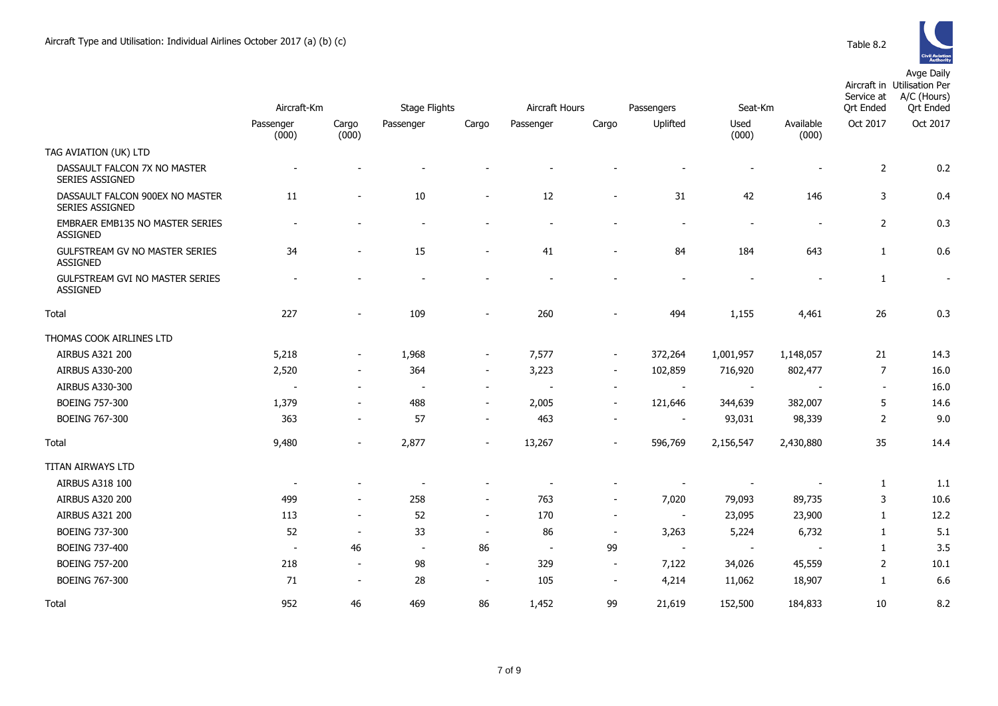

|                                                        |                          |                          |                          |                          |                |                          |                          |                          |                    | Service at               | Aircraft in Utilisation Per<br>A/C (Hours) |
|--------------------------------------------------------|--------------------------|--------------------------|--------------------------|--------------------------|----------------|--------------------------|--------------------------|--------------------------|--------------------|--------------------------|--------------------------------------------|
|                                                        | Aircraft-Km              |                          | <b>Stage Flights</b>     |                          | Aircraft Hours |                          | Passengers               | Seat-Km                  |                    | <b>Qrt Ended</b>         | <b>Qrt Ended</b>                           |
|                                                        | Passenger<br>(000)       | Cargo<br>(000)           | Passenger                | Cargo                    | Passenger      | Cargo                    | Uplifted                 | Used<br>(000)            | Available<br>(000) | Oct 2017                 | Oct 2017                                   |
| TAG AVIATION (UK) LTD                                  |                          |                          |                          |                          |                |                          |                          |                          |                    |                          |                                            |
| DASSAULT FALCON 7X NO MASTER<br><b>SERIES ASSIGNED</b> |                          |                          |                          |                          |                |                          |                          |                          |                    | $\overline{2}$           | 0.2                                        |
| DASSAULT FALCON 900EX NO MASTER<br>SERIES ASSIGNED     | 11                       | $\overline{\phantom{a}}$ | $10\,$                   | $\blacksquare$           | 12             | $\overline{\phantom{a}}$ | 31                       | 42                       | 146                | 3                        | 0.4                                        |
| EMBRAER EMB135 NO MASTER SERIES<br><b>ASSIGNED</b>     |                          |                          | $\overline{\phantom{a}}$ |                          |                |                          |                          | $\overline{\phantom{a}}$ | $\overline{a}$     | $\overline{2}$           | 0.3                                        |
| GULFSTREAM GV NO MASTER SERIES<br><b>ASSIGNED</b>      | 34                       |                          | 15                       | $\overline{\phantom{a}}$ | 41             | ÷,                       | 84                       | 184                      | 643                | $\mathbf{1}$             | 0.6                                        |
| GULFSTREAM GVI NO MASTER SERIES<br><b>ASSIGNED</b>     |                          |                          |                          |                          |                |                          |                          |                          |                    | $\mathbf{1}$             |                                            |
| Total                                                  | 227                      | $\overline{\phantom{a}}$ | 109                      | $\overline{\phantom{a}}$ | 260            |                          | 494                      | 1,155                    | 4,461              | 26                       | 0.3                                        |
| THOMAS COOK AIRLINES LTD                               |                          |                          |                          |                          |                |                          |                          |                          |                    |                          |                                            |
| AIRBUS A321 200                                        | 5,218                    | $\blacksquare$           | 1,968                    | $\blacksquare$           | 7,577          | $\blacksquare$           | 372,264                  | 1,001,957                | 1,148,057          | 21                       | 14.3                                       |
| AIRBUS A330-200                                        | 2,520                    | $\overline{\phantom{a}}$ | 364                      | $\blacksquare$           | 3,223          | $\blacksquare$           | 102,859                  | 716,920                  | 802,477            | $\overline{7}$           | 16.0                                       |
| AIRBUS A330-300                                        | $\overline{\phantom{a}}$ | $\overline{\phantom{a}}$ | $\overline{\phantom{a}}$ | $\overline{\phantom{a}}$ |                | $\overline{\phantom{a}}$ |                          |                          |                    | $\overline{\phantom{a}}$ | 16.0                                       |
| BOEING 757-300                                         | 1,379                    | $\overline{\phantom{a}}$ | 488                      | $\overline{\phantom{a}}$ | 2,005          | $\overline{\phantom{a}}$ | 121,646                  | 344,639                  | 382,007            | 5                        | 14.6                                       |
| BOEING 767-300                                         | 363                      | $\overline{\phantom{a}}$ | 57                       | $\overline{\phantom{a}}$ | 463            |                          |                          | 93,031                   | 98,339             | $\overline{2}$           | 9.0                                        |
| Total                                                  | 9,480                    | $\overline{\phantom{a}}$ | 2,877                    | $\blacksquare$           | 13,267         | $\blacksquare$           | 596,769                  | 2,156,547                | 2,430,880          | 35                       | 14.4                                       |
| TITAN AIRWAYS LTD                                      |                          |                          |                          |                          |                |                          |                          |                          |                    |                          |                                            |
| AIRBUS A318 100                                        | $\overline{\phantom{a}}$ |                          |                          |                          |                |                          |                          |                          |                    | $\mathbf{1}$             | 1.1                                        |
| AIRBUS A320 200                                        | 499                      | $\overline{\phantom{a}}$ | 258                      | $\overline{\phantom{a}}$ | 763            | $\overline{\phantom{a}}$ | 7,020                    | 79,093                   | 89,735             | 3                        | 10.6                                       |
| AIRBUS A321 200                                        | 113                      | $\overline{\phantom{a}}$ | 52                       | $\blacksquare$           | 170            | $\blacksquare$           | $\overline{\phantom{a}}$ | 23,095                   | 23,900             | 1                        | 12.2                                       |
| BOEING 737-300                                         | 52                       | $\sim$                   | 33                       | $\blacksquare$           | 86             | $\overline{\phantom{a}}$ | 3,263                    | 5,224                    | 6,732              | $\mathbf{1}$             | 5.1                                        |
| BOEING 737-400                                         | $\sim$                   | 46                       | $\sim$                   | 86                       | $\sim$         | 99                       | $\overline{\phantom{a}}$ | $\sim$                   |                    | $\mathbf{1}$             | 3.5                                        |
| <b>BOEING 757-200</b>                                  | 218                      | $\sim$                   | 98                       | $\overline{\phantom{a}}$ | 329            | $\sim$                   | 7,122                    | 34,026                   | 45,559             | 2                        | 10.1                                       |
| BOEING 767-300                                         | 71                       | $\sim$                   | 28                       | $\overline{\phantom{a}}$ | 105            | $\overline{\phantom{a}}$ | 4,214                    | 11,062                   | 18,907             | 1                        | 6.6                                        |
| Total                                                  | 952                      | 46                       | 469                      | 86                       | 1,452          | 99                       | 21,619                   | 152,500                  | 184,833            | 10                       | 8.2                                        |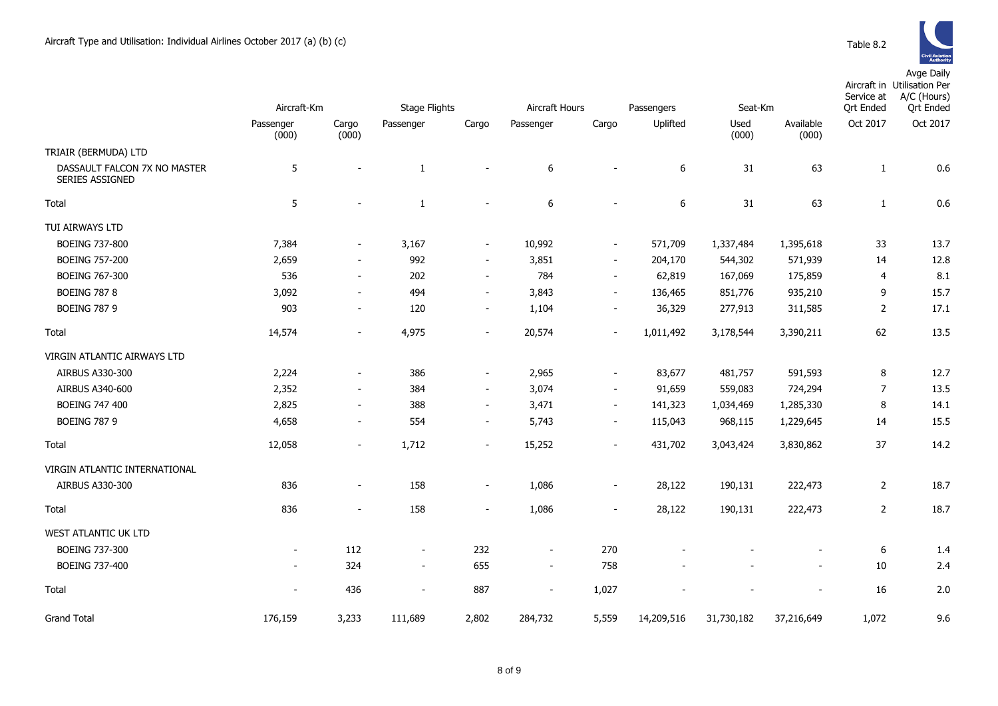

|                                                 | Aircraft-Km        |                          | <b>Stage Flights</b>     |                          | Aircraft Hours<br>Passengers |                          |            | Seat-Km       |                    | Service at<br><b>Qrt Ended</b> | Aircraft in Utilisation Per<br>A/C (Hours)<br><b>Qrt Ended</b> |
|-------------------------------------------------|--------------------|--------------------------|--------------------------|--------------------------|------------------------------|--------------------------|------------|---------------|--------------------|--------------------------------|----------------------------------------------------------------|
|                                                 | Passenger<br>(000) | Cargo<br>(000)           | Passenger                | Cargo                    | Passenger                    | Cargo                    | Uplifted   | Used<br>(000) | Available<br>(000) | Oct 2017                       | Oct 2017                                                       |
| TRIAIR (BERMUDA) LTD                            |                    |                          |                          |                          |                              |                          |            |               |                    |                                |                                                                |
| DASSAULT FALCON 7X NO MASTER<br>SERIES ASSIGNED | 5                  | $\blacksquare$           | $\mathbf{1}$             | $\blacksquare$           | 6                            |                          | 6          | 31            | 63                 | $\mathbf{1}$                   | 0.6                                                            |
| Total                                           | 5                  | $\blacksquare$           | $\mathbf{1}$             | $\sim$                   | 6                            | $\overline{\phantom{a}}$ | 6          | 31            | 63                 | $\mathbf{1}$                   | 0.6                                                            |
| TUI AIRWAYS LTD                                 |                    |                          |                          |                          |                              |                          |            |               |                    |                                |                                                                |
| <b>BOEING 737-800</b>                           | 7,384              | $\overline{\phantom{a}}$ | 3,167                    | $\overline{\phantom{a}}$ | 10,992                       | $\overline{\phantom{a}}$ | 571,709    | 1,337,484     | 1,395,618          | 33                             | 13.7                                                           |
| <b>BOEING 757-200</b>                           | 2,659              | $\sim$                   | 992                      | $\blacksquare$           | 3,851                        | $\sim$                   | 204,170    | 544,302       | 571,939            | 14                             | 12.8                                                           |
| <b>BOEING 767-300</b>                           | 536                | $\overline{\phantom{a}}$ | 202                      | $\blacksquare$           | 784                          | $\overline{\phantom{a}}$ | 62,819     | 167,069       | 175,859            | 4                              | 8.1                                                            |
| <b>BOEING 787 8</b>                             | 3,092              | $\overline{\phantom{a}}$ | 494                      | $\sim$                   | 3,843                        | $\sim$                   | 136,465    | 851,776       | 935,210            | 9                              | 15.7                                                           |
| <b>BOEING 787 9</b>                             | 903                | $\overline{\phantom{a}}$ | 120                      | $\overline{\phantom{a}}$ | 1,104                        | $\overline{\phantom{a}}$ | 36,329     | 277,913       | 311,585            | 2                              | 17.1                                                           |
| Total                                           | 14,574             | $\overline{\phantom{a}}$ | 4,975                    | $\overline{\phantom{a}}$ | 20,574                       | $\overline{\phantom{a}}$ | 1,011,492  | 3,178,544     | 3,390,211          | 62                             | 13.5                                                           |
| VIRGIN ATLANTIC AIRWAYS LTD                     |                    |                          |                          |                          |                              |                          |            |               |                    |                                |                                                                |
| AIRBUS A330-300                                 | 2,224              | $\sim$                   | 386                      | $\overline{\phantom{a}}$ | 2,965                        | $\overline{\phantom{a}}$ | 83,677     | 481,757       | 591,593            | 8                              | 12.7                                                           |
| AIRBUS A340-600                                 | 2,352              | $\overline{\phantom{a}}$ | 384                      | $\overline{\phantom{a}}$ | 3,074                        | $\sim$                   | 91,659     | 559,083       | 724,294            | $\overline{7}$                 | 13.5                                                           |
| <b>BOEING 747 400</b>                           | 2,825              | $\overline{\phantom{a}}$ | 388                      | $\blacksquare$           | 3,471                        | $\overline{\phantom{a}}$ | 141,323    | 1,034,469     | 1,285,330          | 8                              | 14.1                                                           |
| <b>BOEING 787 9</b>                             | 4,658              | $\overline{\phantom{a}}$ | 554                      | $\overline{\phantom{a}}$ | 5,743                        | $\overline{\phantom{a}}$ | 115,043    | 968,115       | 1,229,645          | 14                             | 15.5                                                           |
| Total                                           | 12,058             | $\blacksquare$           | 1,712                    | $\overline{\phantom{a}}$ | 15,252                       | $\blacksquare$           | 431,702    | 3,043,424     | 3,830,862          | 37                             | 14.2                                                           |
| VIRGIN ATLANTIC INTERNATIONAL                   |                    |                          |                          |                          |                              |                          |            |               |                    |                                |                                                                |
| AIRBUS A330-300                                 | 836                | $\overline{\phantom{a}}$ | 158                      | $\blacksquare$           | 1,086                        | $\blacksquare$           | 28,122     | 190,131       | 222,473            | $\overline{2}$                 | 18.7                                                           |
| Total                                           | 836                | $\overline{\phantom{a}}$ | 158                      | $\blacksquare$           | 1,086                        | $\sim$                   | 28,122     | 190,131       | 222,473            | 2                              | 18.7                                                           |
| WEST ATLANTIC UK LTD                            |                    |                          |                          |                          |                              |                          |            |               |                    |                                |                                                                |
| <b>BOEING 737-300</b>                           | $\blacksquare$     | 112                      | $\overline{\phantom{a}}$ | 232                      | $\blacksquare$               | 270                      |            |               |                    | $\boldsymbol{6}$               | 1.4                                                            |
| BOEING 737-400                                  | $\blacksquare$     | 324                      | $\overline{\phantom{a}}$ | 655                      | $\blacksquare$               | 758                      |            |               |                    | 10                             | 2.4                                                            |
| Total                                           | $\blacksquare$     | 436                      | $\overline{\phantom{a}}$ | 887                      | $\overline{\phantom{a}}$     | 1,027                    |            |               |                    | 16                             | 2.0                                                            |
| <b>Grand Total</b>                              | 176,159            | 3,233                    | 111,689                  | 2,802                    | 284,732                      | 5,559                    | 14,209,516 | 31,730,182    | 37,216,649         | 1,072                          | 9.6                                                            |